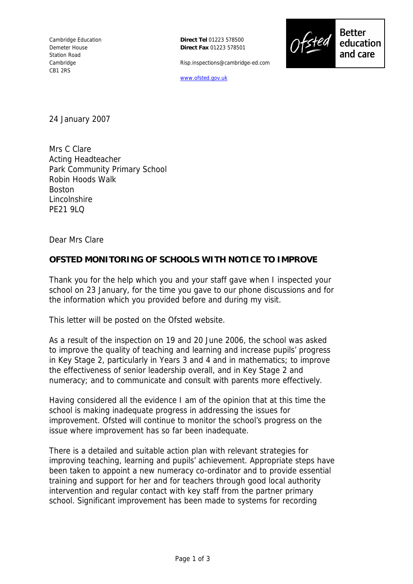**Direct Tel** 01223 578500 **Direct Fax** 01223 578501

Risp.inspections@cambridge-ed.com



**Better** education and care

www.ofsted.gov.uk

24 January 2007

Mrs C Clare Acting Headteacher Park Community Primary School Robin Hoods Walk **Boston** Lincolnshire PF21 9LQ

Dear Mrs Clare

## **OFSTED MONITORING OF SCHOOLS WITH NOTICE TO IMPROVE**

Thank you for the help which you and your staff gave when I inspected your school on 23 January, for the time you gave to our phone discussions and for the information which you provided before and during my visit.

This letter will be posted on the Ofsted website.

As a result of the inspection on 19 and 20 June 2006, the school was asked to improve the quality of teaching and learning and increase pupils' progress in Key Stage 2, particularly in Years 3 and 4 and in mathematics; to improve the effectiveness of senior leadership overall, and in Key Stage 2 and numeracy; and to communicate and consult with parents more effectively.

Having considered all the evidence I am of the opinion that at this time the school is making inadequate progress in addressing the issues for improvement. Ofsted will continue to monitor the school's progress on the issue where improvement has so far been inadequate.

There is a detailed and suitable action plan with relevant strategies for improving teaching, learning and pupils' achievement. Appropriate steps have been taken to appoint a new numeracy co-ordinator and to provide essential training and support for her and for teachers through good local authority intervention and regular contact with key staff from the partner primary school. Significant improvement has been made to systems for recording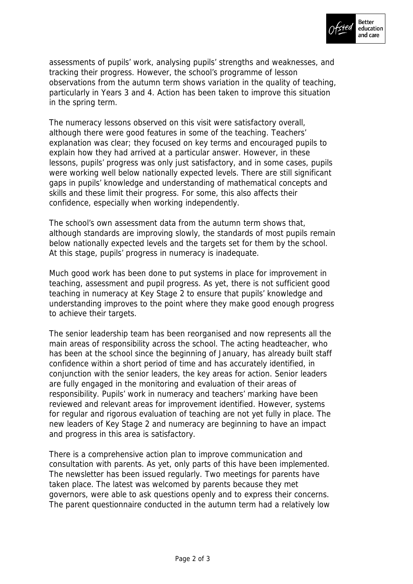

assessments of pupils' work, analysing pupils' strengths and weaknesses, and tracking their progress. However, the school's programme of lesson observations from the autumn term shows variation in the quality of teaching, particularly in Years 3 and 4. Action has been taken to improve this situation in the spring term.

The numeracy lessons observed on this visit were satisfactory overall, although there were good features in some of the teaching. Teachers' explanation was clear; they focused on key terms and encouraged pupils to explain how they had arrived at a particular answer. However, in these lessons, pupils' progress was only just satisfactory, and in some cases, pupils were working well below nationally expected levels. There are still significant gaps in pupils' knowledge and understanding of mathematical concepts and skills and these limit their progress. For some, this also affects their confidence, especially when working independently.

The school's own assessment data from the autumn term shows that, although standards are improving slowly, the standards of most pupils remain below nationally expected levels and the targets set for them by the school. At this stage, pupils' progress in numeracy is inadequate.

Much good work has been done to put systems in place for improvement in teaching, assessment and pupil progress. As yet, there is not sufficient good teaching in numeracy at Key Stage 2 to ensure that pupils' knowledge and understanding improves to the point where they make good enough progress to achieve their targets.

The senior leadership team has been reorganised and now represents all the main areas of responsibility across the school. The acting headteacher, who has been at the school since the beginning of January, has already built staff confidence within a short period of time and has accurately identified, in conjunction with the senior leaders, the key areas for action. Senior leaders are fully engaged in the monitoring and evaluation of their areas of responsibility. Pupils' work in numeracy and teachers' marking have been reviewed and relevant areas for improvement identified. However, systems for regular and rigorous evaluation of teaching are not yet fully in place. The new leaders of Key Stage 2 and numeracy are beginning to have an impact and progress in this area is satisfactory.

There is a comprehensive action plan to improve communication and consultation with parents. As yet, only parts of this have been implemented. The newsletter has been issued regularly. Two meetings for parents have taken place. The latest was welcomed by parents because they met governors, were able to ask questions openly and to express their concerns. The parent questionnaire conducted in the autumn term had a relatively low